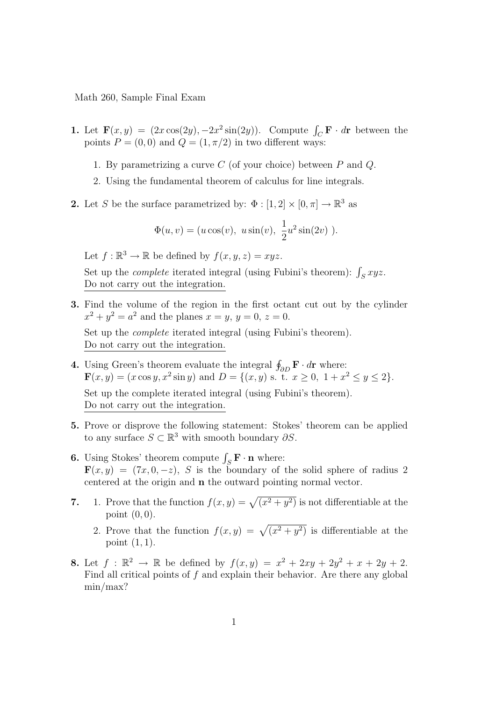Math 260, Sample Final Exam

- 1. Let  $\mathbf{F}(x, y) = (2x \cos(2y), -2x^2 \sin(2y))$ . Compute  $\int_C \mathbf{F} \cdot d\mathbf{r}$  between the points  $P = (0, 0)$  and  $Q = (1, \pi/2)$  in two different ways:
	- 1. By parametrizing a curve  $C$  (of your choice) between  $P$  and  $Q$ .
	- 2. Using the fundamental theorem of calculus for line integrals.
- **2.** Let S be the surface parametrized by:  $\Phi : [1, 2] \times [0, \pi] \to \mathbb{R}^3$  as

$$
\Phi(u, v) = (u \cos(v), u \sin(v), \frac{1}{2}u^2 \sin(2v)).
$$

Let  $f : \mathbb{R}^3 \to \mathbb{R}$  be defined by  $f(x, y, z) = xyz$ .

Set up the *complete* iterated integral (using Fubini's theorem):  $\int_S xyz$ . Do not carry out the integration.

3. Find the volume of the region in the first octant cut out by the cylinder  $x^2 + y^2 = a^2$  and the planes  $x = y, y = 0, z = 0$ .

Set up the *complete* iterated integral (using Fubini's theorem). Do not carry out the integration.

- 4. Using Green's theorem evaluate the integral  $\oint_{\partial D} \mathbf{F} \cdot d\mathbf{r}$  where:  $\mathbf{F}(x,y) = (x \cos y, x^2 \sin y)$  and  $D = \{(x,y) \text{ s. t. } x \ge 0, 1 + x^2 \le y \le 2\}.$ Set up the complete iterated integral (using Fubini's theorem). Do not carry out the integration.
- 5. Prove or disprove the following statement: Stokes' theorem can be applied to any surface  $S \subset \mathbb{R}^3$  with smooth boundary  $\partial S$ .
- **6.** Using Stokes' theorem compute  $\int_{S} \mathbf{F} \cdot \mathbf{n}$  where:  $\mathbf{F}(x, y) = (7x, 0, -z), S$  is the boundary of the solid sphere of radius 2 centered at the origin and n the outward pointing normal vector.
- 7. 1. Prove that the function  $f(x, y) = \sqrt{x^2 + y^2}$  is not differentiable at the point  $(0, 0)$ .
	- 2. Prove that the function  $f(x,y) = \sqrt{(x^2 + y^2)}$  is differentiable at the point  $(1, 1)$ .
- **8.** Let  $f : \mathbb{R}^2 \to \mathbb{R}$  be defined by  $f(x, y) = x^2 + 2xy + 2y^2 + x + 2y + 2$ . Find all critical points of  $f$  and explain their behavior. Are there any global min/max?